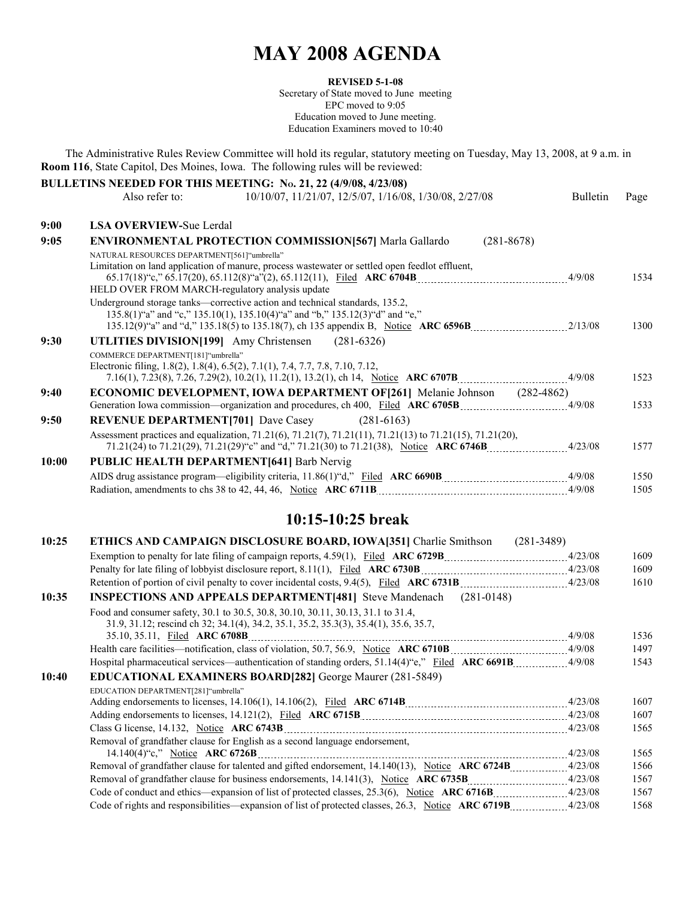## **MAY 2008 AGENDA**

#### **REVISED 5-1-08**

Secretary of State moved to June meeting EPC moved to 9:05 Education moved to June meeting. Education Examiners moved to 10:40

The Administrative Rules Review Committee will hold its regular, statutory meeting on Tuesday, May 13, 2008, at 9 a.m. in **Room 116**, State Capitol, Des Moines, Iowa. The following rules will be reviewed:

|       |                                                   | BULLETINS NEEDED FOR THIS MEETING: No. 21, 22 (4/9/08, 4/23/08)                                                                                            |                 |      |
|-------|---------------------------------------------------|------------------------------------------------------------------------------------------------------------------------------------------------------------|-----------------|------|
|       | Also refer to:                                    | 10/10/07, 11/21/07, 12/5/07, 1/16/08, 1/30/08, 2/27/08                                                                                                     | <b>Bulletin</b> | Page |
| 9:00  | <b>LSA OVERVIEW-Sue Lerdal</b>                    |                                                                                                                                                            |                 |      |
| 9:05  |                                                   | <b>ENVIRONMENTAL PROTECTION COMMISSION [567] Marla Gallardo</b><br>$(281 - 8678)$                                                                          |                 |      |
|       | NATURAL RESOURCES DEPARTMENT[561]"umbrella"       |                                                                                                                                                            |                 |      |
|       | HELD OVER FROM MARCH-regulatory analysis update   | Limitation on land application of manure, process wastewater or settled open feedlot effluent,                                                             |                 | 1534 |
|       |                                                   | Underground storage tanks—corrective action and technical standards, 135.2,<br>135.8(1)"a" and "c," 135.10(1), 135.10(4)"a" and "b," 135.12(3)"d" and "e," |                 | 1300 |
| 9:30  | <b>UTLITIES DIVISION</b> [199] Amy Christensen    | $(281-6326)$                                                                                                                                               |                 |      |
|       | COMMERCE DEPARTMENT[181]"umbrella"                |                                                                                                                                                            |                 |      |
|       |                                                   | Electronic filing, 1.8(2), 1.8(4), 6.5(2), 7.1(1), 7.4, 7.7, 7.8, 7.10, 7.12,                                                                              |                 | 1523 |
| 9:40  |                                                   | <b>ECONOMIC DEVELOPMENT, IOWA DEPARTMENT OF [261]</b> Melanie Johnson                                                                                      | $(282 - 4862)$  |      |
|       |                                                   |                                                                                                                                                            |                 | 1533 |
| 9:50  | <b>REVENUE DEPARTMENT[701] Dave Casey</b>         | $(281-6163)$                                                                                                                                               |                 |      |
|       |                                                   | Assessment practices and equalization, 71.21(6), 71.21(7), 71.21(11), 71.21(13) to 71.21(15), 71.21(20),                                                   |                 | 1577 |
| 10:00 | <b>PUBLIC HEALTH DEPARTMENT [641] Barb Nervig</b> |                                                                                                                                                            |                 |      |
|       |                                                   |                                                                                                                                                            |                 | 1550 |
|       |                                                   |                                                                                                                                                            |                 | 1505 |

### **10:15-10:25 break**

| 10:25 | <b>ETHICS AND CAMPAIGN DISCLOSURE BOARD, IOWA[351] Charlie Smithson</b><br>$(281-3489)$                                                                                  |  |      |
|-------|--------------------------------------------------------------------------------------------------------------------------------------------------------------------------|--|------|
|       |                                                                                                                                                                          |  | 1609 |
|       |                                                                                                                                                                          |  | 1609 |
|       | Retention of portion of civil penalty to cover incidental costs, 9.4(5), Filed ARC 6731B _________________________4/23/08                                                |  | 1610 |
| 10:35 | <b>INSPECTIONS AND APPEALS DEPARTMENT[481]</b> Steve Mandenach (281-0148)                                                                                                |  |      |
|       | Food and consumer safety, 30.1 to 30.5, 30.8, 30.10, 30.11, 30.13, 31.1 to 31.4,<br>31.9, 31.12; rescind ch 32; 34.1(4), 34.2, 35.1, 35.2, 35.3(3), 35.4(1), 35.6, 35.7, |  |      |
|       |                                                                                                                                                                          |  | 1536 |
|       |                                                                                                                                                                          |  | 1497 |
|       | Hospital pharmaceutical services—authentication of standing orders, 51.14(4)"e," Filed ARC 6691B4/9/08                                                                   |  | 1543 |
| 10:40 | <b>EDUCATIONAL EXAMINERS BOARD[282]</b> George Maurer (281-5849)                                                                                                         |  |      |
|       | EDUCATION DEPARTMENT[281]"umbrella"                                                                                                                                      |  |      |
|       |                                                                                                                                                                          |  | 1607 |
|       |                                                                                                                                                                          |  | 1607 |
|       |                                                                                                                                                                          |  | 1565 |
|       | Removal of grandfather clause for English as a second language endorsement,                                                                                              |  |      |
|       |                                                                                                                                                                          |  | 1565 |
|       |                                                                                                                                                                          |  | 1566 |
|       |                                                                                                                                                                          |  | 1567 |
|       |                                                                                                                                                                          |  | 1567 |
|       |                                                                                                                                                                          |  | 1568 |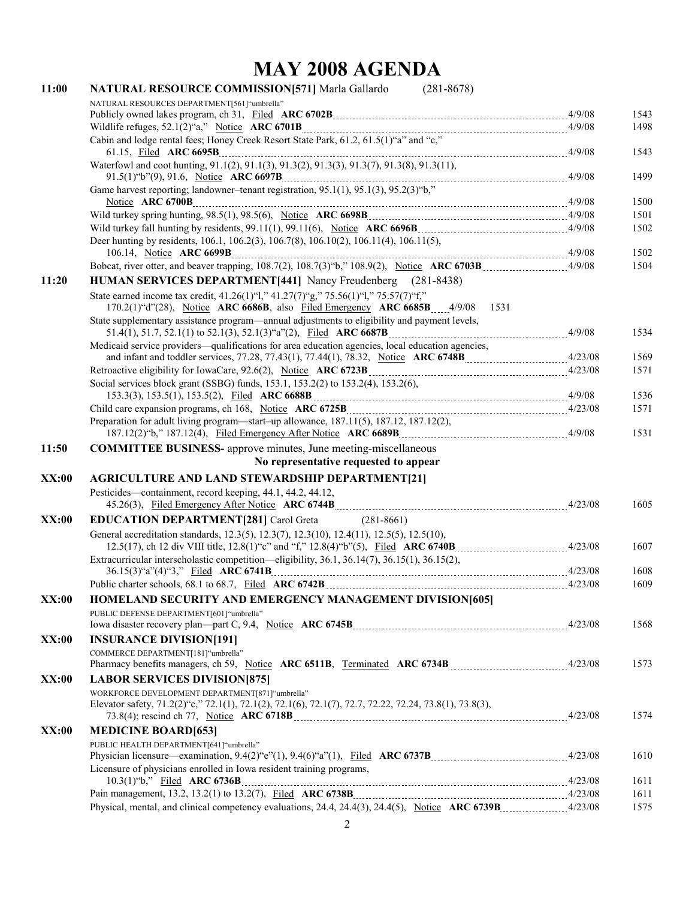# **MAY 2008 AGENDA**

| 11:00 | NATURAL RESOURCE COMMISSION[571] Marla Gallardo<br>$(281 - 8678)$                                                                                                       |      |
|-------|-------------------------------------------------------------------------------------------------------------------------------------------------------------------------|------|
|       | NATURAL RESOURCES DEPARTMENT[561]"umbrella"                                                                                                                             |      |
|       |                                                                                                                                                                         | 1543 |
|       |                                                                                                                                                                         | 1498 |
|       | Cabin and lodge rental fees; Honey Creek Resort State Park, 61.2, 61.5(1) "a" and "c,"                                                                                  | 1543 |
|       | Waterfowl and coot hunting, 91.1(2), 91.1(3), 91.3(2), 91.3(3), 91.3(7), 91.3(8), 91.3(11),                                                                             | 1499 |
|       |                                                                                                                                                                         |      |
|       |                                                                                                                                                                         | 1500 |
|       |                                                                                                                                                                         | 1501 |
|       | Deer hunting by residents, 106.1, 106.2(3), 106.7(8), 106.10(2), 106.11(4), 106.11(5),                                                                                  | 1502 |
|       |                                                                                                                                                                         | 1502 |
|       |                                                                                                                                                                         | 1504 |
| 11:20 | HUMAN SERVICES DEPARTMENT[441] Nancy Freudenberg (281-8438)                                                                                                             |      |
|       | State earned income tax credit, 41.26(1)"1," 41.27(7)"g," 75.56(1)"1," 75.57(7)"f,"<br>170.2(1)"d"(28), Notice ARC 6686B, also Filed Emergency ARC 6685B 4/9/08<br>1531 |      |
|       | State supplementary assistance program—annual adjustments to eligibility and payment levels,                                                                            |      |
|       |                                                                                                                                                                         | 1534 |
|       | Medicaid service providers—qualifications for area education agencies, local education agencies,                                                                        |      |
|       |                                                                                                                                                                         | 1569 |
|       |                                                                                                                                                                         | 1571 |
|       | Social services block grant (SSBG) funds, 153.1, 153.2(2) to 153.2(4), 153.2(6),                                                                                        | 1536 |
|       |                                                                                                                                                                         | 1571 |
|       | Preparation for adult living program—start-up allowance, 187.11(5), 187.12, 187.12(2),                                                                                  | 1531 |
| 11:50 | <b>COMMITTEE BUSINESS-</b> approve minutes, June meeting-miscellaneous                                                                                                  |      |
|       | No representative requested to appear                                                                                                                                   |      |
| XX:00 | <b>AGRICULTURE AND LAND STEWARDSHIP DEPARTMENT[21]</b>                                                                                                                  |      |
|       | Pesticides—containment, record keeping, 44.1, 44.2, 44.12,                                                                                                              |      |
|       |                                                                                                                                                                         | 1605 |
| XX:00 | <b>EDUCATION DEPARTMENT[281] Carol Greta</b><br>$(281 - 8661)$                                                                                                          |      |
|       | General accreditation standards, 12.3(5), 12.3(7), 12.3(10), 12.4(11), 12.5(5), 12.5(10),                                                                               |      |
|       |                                                                                                                                                                         | 1607 |
|       | Extracurricular interscholastic competition—eligibility, 36.1, 36.14(7), 36.15(1), 36.15(2),                                                                            |      |
|       | Public charter schools, 68.1 to 68.7, Filed ARC 6742B                                                                                                                   | 1608 |
|       | $\frac{1}{2}$ 4/23/08                                                                                                                                                   | 1609 |
| XX:00 | <b>HOMELAND SECURITY AND EMERGENCY MANAGEMENT DIVISION[605]</b>                                                                                                         |      |
|       | PUBLIC DEFENSE DEPARTMENT[601] "umbrella"                                                                                                                               | 1568 |
| XX:00 | <b>INSURANCE DIVISION[191]</b>                                                                                                                                          |      |
|       | COMMERCE DEPARTMENT[181]"umbrella"                                                                                                                                      | 1573 |
| XX:00 | <b>LABOR SERVICES DIVISION [875]</b>                                                                                                                                    |      |
|       | WORKFORCE DEVELOPMENT DEPARTMENT[871]"umbrella"<br>Elevator safety, 71.2(2) "c," 72.1(1), 72.1(2), 72.1(6), 72.1(7), 72.7, 72.22, 72.24, 73.8(1), 73.8(3),              | 1574 |
| XX:00 | <b>MEDICINE BOARD[653]</b>                                                                                                                                              |      |
|       | PUBLIC HEALTH DEPARTMENT[641] "umbrella"                                                                                                                                |      |
|       |                                                                                                                                                                         | 1610 |
|       | Licensure of physicians enrolled in Iowa resident training programs,                                                                                                    |      |
|       |                                                                                                                                                                         | 1611 |
|       |                                                                                                                                                                         | 1611 |
|       |                                                                                                                                                                         | 1575 |